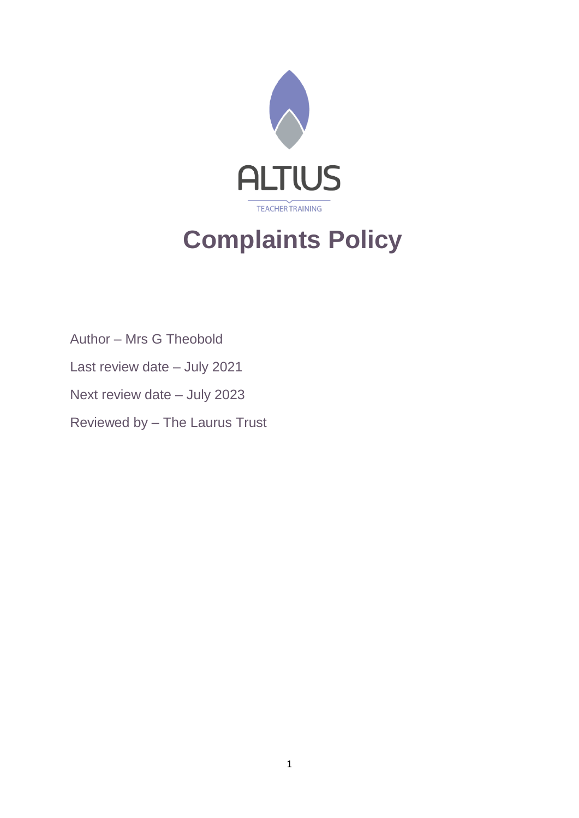

# **Complaints Policy**

Author – Mrs G Theobold

- Last review date July 2021
- Next review date July 2023

Reviewed by – The Laurus Trust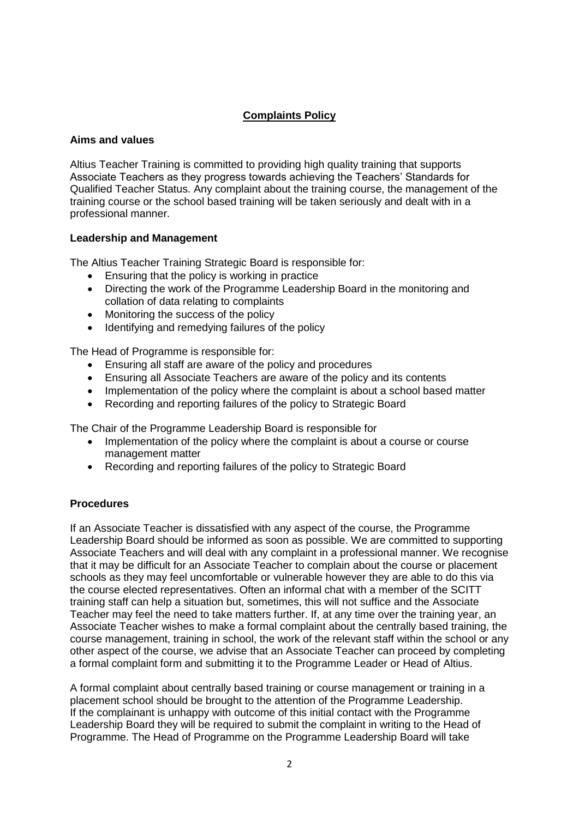# **Complaints Policy**

#### **Aims and values**

Altius Teacher Training is committed to providing high quality training that supports Associate Teachers as they progress towards achieving the Teachers' Standards for Qualified Teacher Status. Any complaint about the training course, the management of the training course or the school based training will be taken seriously and dealt with in a professional manner.

#### **Leadership and Management**

The Altius Teacher Training Strategic Board is responsible for:

- Ensuring that the policy is working in practice
- Directing the work of the Programme Leadership Board in the monitoring and collation of data relating to complaints
- Monitoring the success of the policy
- Identifying and remedying failures of the policy

The Head of Programme is responsible for:

- Ensuring all staff are aware of the policy and procedures
- Ensuring all Associate Teachers are aware of the policy and its contents
- Implementation of the policy where the complaint is about a school based matter
- Recording and reporting failures of the policy to Strategic Board

The Chair of the Programme Leadership Board is responsible for

- Implementation of the policy where the complaint is about a course or course management matter
- Recording and reporting failures of the policy to Strategic Board

#### **Procedures**

If an Associate Teacher is dissatisfied with any aspect of the course, the Programme Leadership Board should be informed as soon as possible. We are committed to supporting Associate Teachers and will deal with any complaint in a professional manner. We recognise that it may be difficult for an Associate Teacher to complain about the course or placement schools as they may feel uncomfortable or vulnerable however they are able to do this via the course elected representatives. Often an informal chat with a member of the SCITT training staff can help a situation but, sometimes, this will not suffice and the Associate Teacher may feel the need to take matters further. If, at any time over the training year, an Associate Teacher wishes to make a formal complaint about the centrally based training, the course management, training in school, the work of the relevant staff within the school or any other aspect of the course, we advise that an Associate Teacher can proceed by completing a formal complaint form and submitting it to the Programme Leader or Head of Altius.

A formal complaint about centrally based training or course management or training in a placement school should be brought to the attention of the Programme Leadership. If the complainant is unhappy with outcome of this initial contact with the Programme Leadership Board they will be required to submit the complaint in writing to the Head of Programme. The Head of Programme on the Programme Leadership Board will take